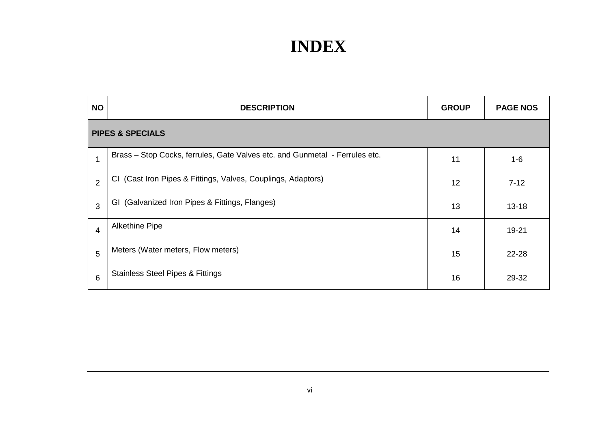| <b>NO</b>                   | <b>DESCRIPTION</b>                                                          | <b>GROUP</b> | <b>PAGE NOS</b> |
|-----------------------------|-----------------------------------------------------------------------------|--------------|-----------------|
| <b>PIPES &amp; SPECIALS</b> |                                                                             |              |                 |
| $\mathbf 1$                 | Brass - Stop Cocks, ferrules, Gate Valves etc. and Gunmetal - Ferrules etc. | 11           | $1 - 6$         |
| 2                           | CI (Cast Iron Pipes & Fittings, Valves, Couplings, Adaptors)                | 12           | $7 - 12$        |
| 3                           | GI (Galvanized Iron Pipes & Fittings, Flanges)                              | 13           | $13 - 18$       |
| 4                           | <b>Alkethine Pipe</b>                                                       | 14           | 19-21           |
| 5                           | Meters (Water meters, Flow meters)                                          | 15           | 22-28           |
| 6                           | <b>Stainless Steel Pipes &amp; Fittings</b>                                 | 16           | 29-32           |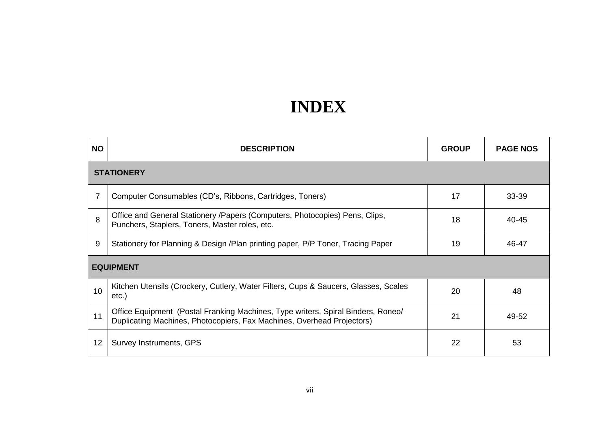| <b>NO</b>        | <b>DESCRIPTION</b>                                                                                                                                         | <b>GROUP</b> | <b>PAGE NOS</b> |  |
|------------------|------------------------------------------------------------------------------------------------------------------------------------------------------------|--------------|-----------------|--|
|                  | <b>STATIONERY</b>                                                                                                                                          |              |                 |  |
| 7                | Computer Consumables (CD's, Ribbons, Cartridges, Toners)                                                                                                   | 17           | 33-39           |  |
| 8                | Office and General Stationery / Papers (Computers, Photocopies) Pens, Clips,<br>Punchers, Staplers, Toners, Master roles, etc.                             | 18           | 40-45           |  |
| 9                | Stationery for Planning & Design /Plan printing paper, P/P Toner, Tracing Paper                                                                            | 19           | 46-47           |  |
| <b>EQUIPMENT</b> |                                                                                                                                                            |              |                 |  |
| 10               | Kitchen Utensils (Crockery, Cutlery, Water Filters, Cups & Saucers, Glasses, Scales<br>$etc.$ )                                                            | 20           | 48              |  |
| 11               | Office Equipment (Postal Franking Machines, Type writers, Spiral Binders, Roneo/<br>Duplicating Machines, Photocopiers, Fax Machines, Overhead Projectors) | 21           | 49-52           |  |
| 12               | Survey Instruments, GPS                                                                                                                                    | 22           | 53              |  |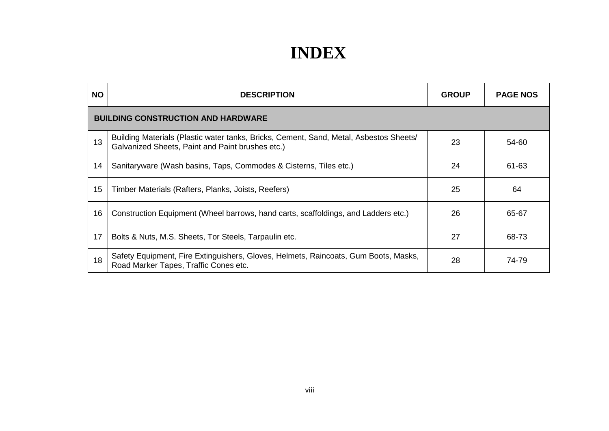| <b>NO</b> | <b>DESCRIPTION</b>                                                                                                                         | <b>GROUP</b> | <b>PAGE NOS</b> |  |
|-----------|--------------------------------------------------------------------------------------------------------------------------------------------|--------------|-----------------|--|
|           | <b>BUILDING CONSTRUCTION AND HARDWARE</b>                                                                                                  |              |                 |  |
| 13        | Building Materials (Plastic water tanks, Bricks, Cement, Sand, Metal, Asbestos Sheets/<br>Galvanized Sheets, Paint and Paint brushes etc.) | 23           | 54-60           |  |
| 14        | Sanitaryware (Wash basins, Taps, Commodes & Cisterns, Tiles etc.)                                                                          | 24           | 61-63           |  |
| 15        | Timber Materials (Rafters, Planks, Joists, Reefers)                                                                                        | 25           | 64              |  |
| 16        | Construction Equipment (Wheel barrows, hand carts, scaffoldings, and Ladders etc.)                                                         | 26           | 65-67           |  |
| 17        | Bolts & Nuts, M.S. Sheets, Tor Steels, Tarpaulin etc.                                                                                      | 27           | 68-73           |  |
| 18        | Safety Equipment, Fire Extinguishers, Gloves, Helmets, Raincoats, Gum Boots, Masks,<br>Road Marker Tapes, Traffic Cones etc.               | 28           | 74-79           |  |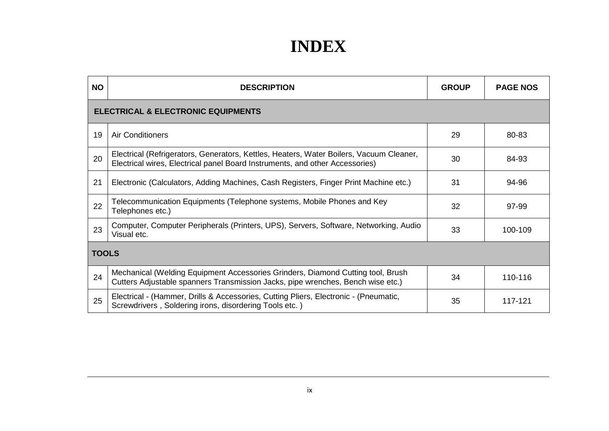| <b>NO</b>    | <b>DESCRIPTION</b>                                                                                                                                                      | <b>GROUP</b> | <b>PAGE NOS</b> |  |
|--------------|-------------------------------------------------------------------------------------------------------------------------------------------------------------------------|--------------|-----------------|--|
|              | <b>ELECTRICAL &amp; ELECTRONIC EQUIPMENTS</b>                                                                                                                           |              |                 |  |
| 19           | <b>Air Conditioners</b>                                                                                                                                                 | 29           | 80-83           |  |
| 20           | Electrical (Refrigerators, Generators, Kettles, Heaters, Water Boilers, Vacuum Cleaner,<br>Electrical wires, Electrical panel Board Instruments, and other Accessories) | 30           | 84-93           |  |
| 21           | Electronic (Calculators, Adding Machines, Cash Registers, Finger Print Machine etc.)                                                                                    | 31           | 94-96           |  |
| 22           | Telecommunication Equipments (Telephone systems, Mobile Phones and Key<br>Telephones etc.)                                                                              | 32           | 97-99           |  |
| 23           | Computer, Computer Peripherals (Printers, UPS), Servers, Software, Networking, Audio<br>Visual etc.                                                                     | 33           | 100-109         |  |
| <b>TOOLS</b> |                                                                                                                                                                         |              |                 |  |
| 24           | Mechanical (Welding Equipment Accessories Grinders, Diamond Cutting tool, Brush<br>Cutters Adjustable spanners Transmission Jacks, pipe wrenches, Bench wise etc.)      | 34           | 110-116         |  |
| 25           | Electrical - (Hammer, Drills & Accessories, Cutting Pliers, Electronic - (Pneumatic,<br>Screwdrivers, Soldering irons, disordering Tools etc.)                          | 35           | 117-121         |  |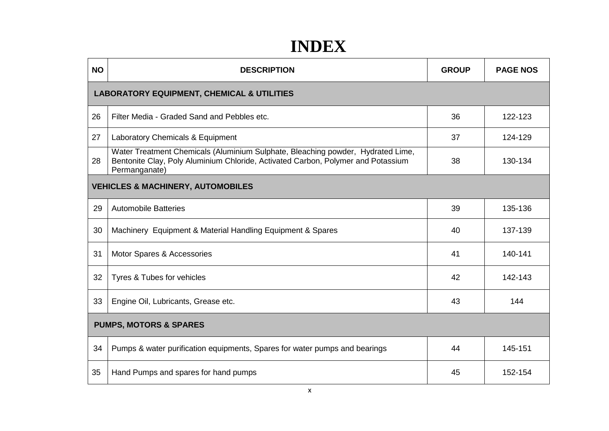| <b>NO</b>                                             | <b>DESCRIPTION</b>                                                                                                                                                                   | <b>GROUP</b> | <b>PAGE NOS</b> |
|-------------------------------------------------------|--------------------------------------------------------------------------------------------------------------------------------------------------------------------------------------|--------------|-----------------|
| <b>LABORATORY EQUIPMENT, CHEMICAL &amp; UTILITIES</b> |                                                                                                                                                                                      |              |                 |
| 26                                                    | Filter Media - Graded Sand and Pebbles etc.                                                                                                                                          | 36           | 122-123         |
| 27                                                    | Laboratory Chemicals & Equipment                                                                                                                                                     | 37           | 124-129         |
| 28                                                    | Water Treatment Chemicals (Aluminium Sulphate, Bleaching powder, Hydrated Lime,<br>Bentonite Clay, Poly Aluminium Chloride, Activated Carbon, Polymer and Potassium<br>Permanganate) | 38           | 130-134         |
|                                                       | <b>VEHICLES &amp; MACHINERY, AUTOMOBILES</b>                                                                                                                                         |              |                 |
| 29                                                    | <b>Automobile Batteries</b>                                                                                                                                                          | 39           | 135-136         |
| 30                                                    | Machinery Equipment & Material Handling Equipment & Spares                                                                                                                           | 40           | 137-139         |
| 31                                                    | Motor Spares & Accessories                                                                                                                                                           | 41           | 140-141         |
| 32                                                    | Tyres & Tubes for vehicles                                                                                                                                                           | 42           | 142-143         |
| 33                                                    | Engine Oil, Lubricants, Grease etc.                                                                                                                                                  | 43           | 144             |
| <b>PUMPS, MOTORS &amp; SPARES</b>                     |                                                                                                                                                                                      |              |                 |
| 34                                                    | Pumps & water purification equipments, Spares for water pumps and bearings                                                                                                           | 44           | 145-151         |
| 35                                                    | Hand Pumps and spares for hand pumps                                                                                                                                                 | 45           | 152-154         |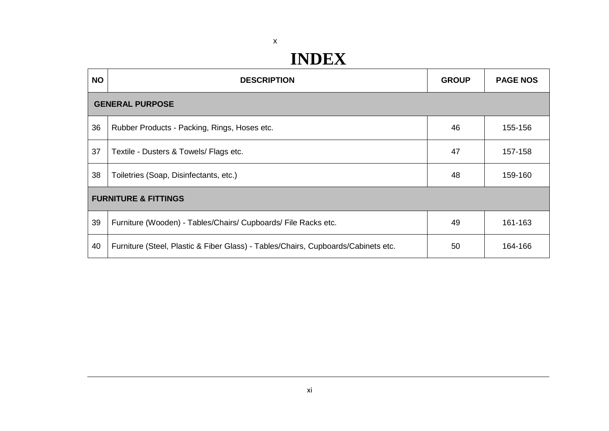#### x

| <b>NO</b>                       | <b>DESCRIPTION</b>                                                                | <b>GROUP</b> | <b>PAGE NOS</b> |
|---------------------------------|-----------------------------------------------------------------------------------|--------------|-----------------|
| <b>GENERAL PURPOSE</b>          |                                                                                   |              |                 |
| 36                              | Rubber Products - Packing, Rings, Hoses etc.                                      | 46           | 155-156         |
| 37                              | Textile - Dusters & Towels/ Flags etc.                                            | 47           | 157-158         |
| 38                              | Toiletries (Soap, Disinfectants, etc.)                                            | 48           | 159-160         |
| <b>FURNITURE &amp; FITTINGS</b> |                                                                                   |              |                 |
| 39                              | Furniture (Wooden) - Tables/Chairs/ Cupboards/ File Racks etc.                    | 49           | 161-163         |
| 40                              | Furniture (Steel, Plastic & Fiber Glass) - Tables/Chairs, Cupboards/Cabinets etc. | 50           | 164-166         |